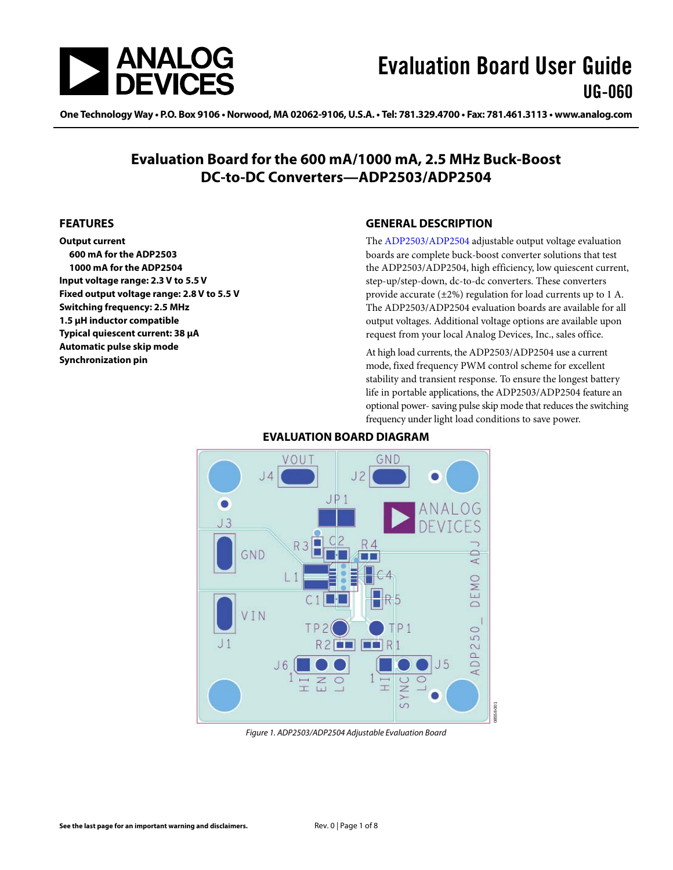<span id="page-0-0"></span>

One Technology Way • P.O. Box 9106 • Norwood, MA 02062-9106, U.S.A. • Tel: 781.329.4700 • Fax: 781.461.3113 • www.analog.com

### **Evaluation Board for the 600 mA/1000 mA, 2.5 MHz Buck-Boost DC-to-DC Converters—ADP2503/ADP2504**

#### **FEATURES**

**Output current 600 mA for the ADP2503 1000 mA for the ADP2504 Input voltage range: 2.3 V to 5.5 V Fixed output voltage range: 2.8 V to 5.5 V Switching frequency: 2.5 MHz 1.5 μH inductor compatible Typical quiescent current: 38 μA Automatic pulse skip mode Synchronization pin** 

#### **GENERAL DESCRIPTION**

The [ADP2503](http://www.analog.com/ADP2503)[/ADP2504](http://www.analog.com/ADP2504) adjustable output voltage evaluation boards are complete buck-boost converter solutions that test the [ADP2503](http://www.analog.com/ADP2503)[/ADP2504](http://www.analog.com/ADP2504), high efficiency, low quiescent current, step-up/step-down, dc-to-dc converters. These converters provide accurate (±2%) regulation for load currents up to 1 A. The [ADP2503](http://www.analog.com/ADP2503)[/ADP2504](http://www.analog.com/ADP2504) evaluation boards are available for all output voltages. Additional voltage options are available upon request from your local Analog Devices, Inc., sales office.

At high load currents, the [ADP2503/](http://www.analog.com/ADP2503)[ADP2504](http://www.analog.com/ADP2504) use a current mode, fixed frequency PWM control scheme for excellent stability and transient response. To ensure the longest battery life in portable applications, the [ADP2503](http://www.analog.com/ADP2503)[/ADP2504](http://www.analog.com/ADP2504) feature an optional power- saving pulse skip mode that reduces the switching frequency under light load conditions to save power.



#### **EVALUATION BOARD DIAGRAM**

Figure 1. ADP2503/ADP2504 Adjustable Evaluation Board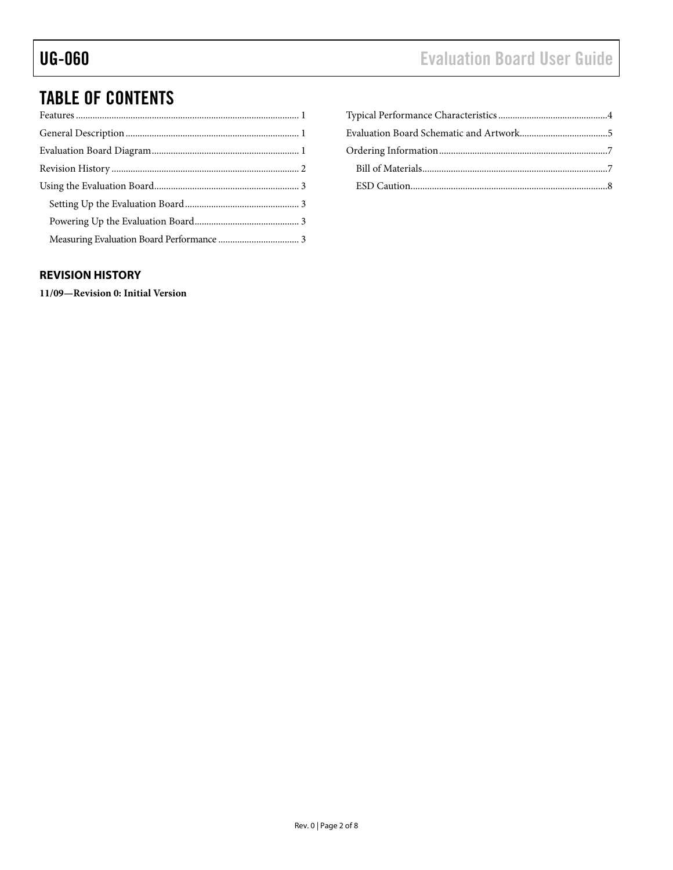# <span id="page-1-0"></span>TABLE OF CONTENTS

#### **REVISION HISTORY**

**11/09—Revision 0: Initial Version**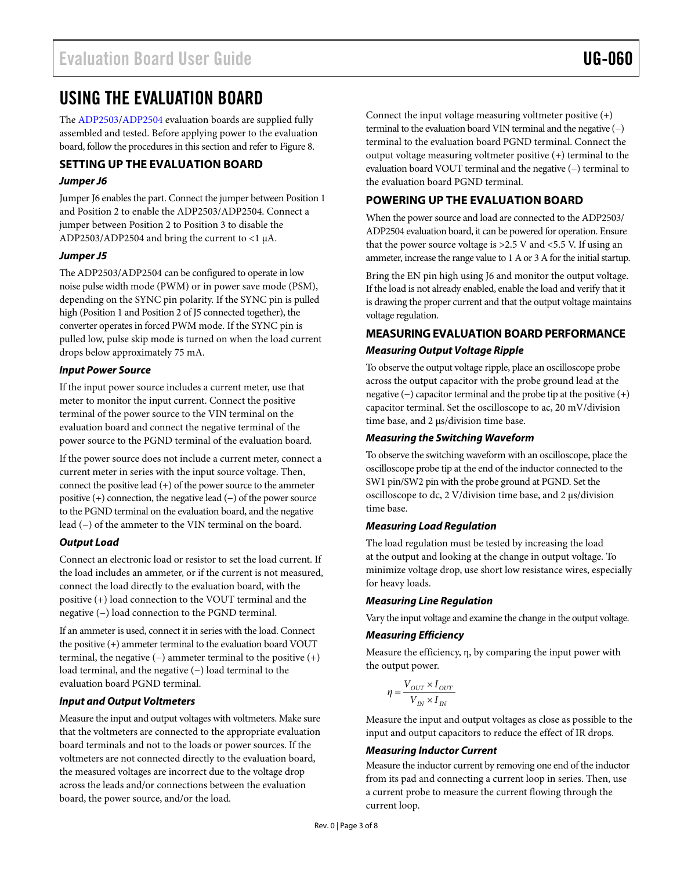### <span id="page-2-0"></span>USING THE EVALUATION BOARD

The [ADP2503](http://www.analog.com/ADP2503)[/ADP2504](http://www.analog.com/ADP2504) evaluation boards are supplied fully assembled and tested. Before applying power to the evaluation board, follow the procedures in this section and refer to [Figure 8](#page-4-1).

#### **SETTING UP THE EVALUATION BOARD**

#### **Jumper J6**

Jumper J6 enables the part. Connect the jumper between Position 1 and Position 2 to enable the [ADP2503](http://www.analog.com/ADP2503)[/ADP2504](http://www.analog.com/ADP2504). Connect a jumper between Position 2 to Position 3 to disable the ADP2503/ADP2504 and bring the current to <1 μA.

#### **Jumper J5**

The [ADP2503](http://www.analog.com/ADP2503)[/ADP2504](http://www.analog.com/ADP2504) can be configured to operate in low noise pulse width mode (PWM) or in power save mode (PSM), depending on the SYNC pin polarity. If the SYNC pin is pulled high (Position 1 and Position 2 of J5 connected together), the converter operates in forced PWM mode. If the SYNC pin is pulled low, pulse skip mode is turned on when the load current drops below approximately 75 mA.

#### **Input Power Source**

If the input power source includes a current meter, use that meter to monitor the input current. Connect the positive terminal of the power source to the VIN terminal on the evaluation board and connect the negative terminal of the power source to the PGND terminal of the evaluation board.

If the power source does not include a current meter, connect a current meter in series with the input source voltage. Then, connect the positive lead  $(+)$  of the power source to the ammeter positive (+) connection, the negative lead (−) of the power source to the PGND terminal on the evaluation board, and the negative lead (−) of the ammeter to the VIN terminal on the board.

#### **Output Load**

Connect an electronic load or resistor to set the load current. If the load includes an ammeter, or if the current is not measured, connect the load directly to the evaluation board, with the positive (+) load connection to the VOUT terminal and the negative (−) load connection to the PGND terminal.

If an ammeter is used, connect it in series with the load. Connect the positive (+) ammeter terminal to the evaluation board VOUT terminal, the negative  $(-)$  ammeter terminal to the positive  $(+)$ load terminal, and the negative (−) load terminal to the evaluation board PGND terminal.

#### **Input and Output Voltmeters**

Measure the input and output voltages with voltmeters. Make sure that the voltmeters are connected to the appropriate evaluation board terminals and not to the loads or power sources. If the voltmeters are not connected directly to the evaluation board, the measured voltages are incorrect due to the voltage drop across the leads and/or connections between the evaluation board, the power source, and/or the load.

Connect the input voltage measuring voltmeter positive (+) terminal to the evaluation board VIN terminal and the negative (−) terminal to the evaluation board PGND terminal. Connect the output voltage measuring voltmeter positive (+) terminal to the evaluation board VOUT terminal and the negative (−) terminal to the evaluation board PGND terminal.

### **POWERING UP THE EVALUATION BOARD**

When the power source and load are connected to the ADP2503/ ADP2504 evaluation board, it can be powered for operation. Ensure that the power source voltage is >2.5 V and <5.5 V. If using an ammeter, increase the range value to 1 A or 3 A for the initial startup.

Bring the EN pin high using J6 and monitor the output voltage. If the load is not already enabled, enable the load and verify that it is drawing the proper current and that the output voltage maintains voltage regulation.

### **MEASURING EVALUATION BOARD PERFORMANCE Measuring Output Voltage Ripple**

To observe the output voltage ripple, place an oscilloscope probe across the output capacitor with the probe ground lead at the negative (−) capacitor terminal and the probe tip at the positive (+) capacitor terminal. Set the oscilloscope to ac, 20 mV/division time base, and 2 μs/division time base.

#### **Measuring the Switching Waveform**

To observe the switching waveform with an oscilloscope, place the oscilloscope probe tip at the end of the inductor connected to the SW1 pin/SW2 pin with the probe ground at PGND. Set the oscilloscope to dc, 2 V/division time base, and 2 μs/division time base.

#### **Measuring Load Regulation**

The load regulation must be tested by increasing the load at the output and looking at the change in output voltage. To minimize voltage drop, use short low resistance wires, especially for heavy loads.

#### **Measuring Line Regulation**

Vary the input voltage and examine the change in the output voltage.

#### **Measuring Efficiency**

Measure the efficiency, η, by comparing the input power with the output power.

$$
\eta = \frac{V_{OUT} \times I_{OUT}}{V_{IN} \times I_{IN}}
$$

Measure the input and output voltages as close as possible to the input and output capacitors to reduce the effect of IR drops.

#### **Measuring Inductor Current**

Measure the inductor current by removing one end of the inductor from its pad and connecting a current loop in series. Then, use a current probe to measure the current flowing through the current loop.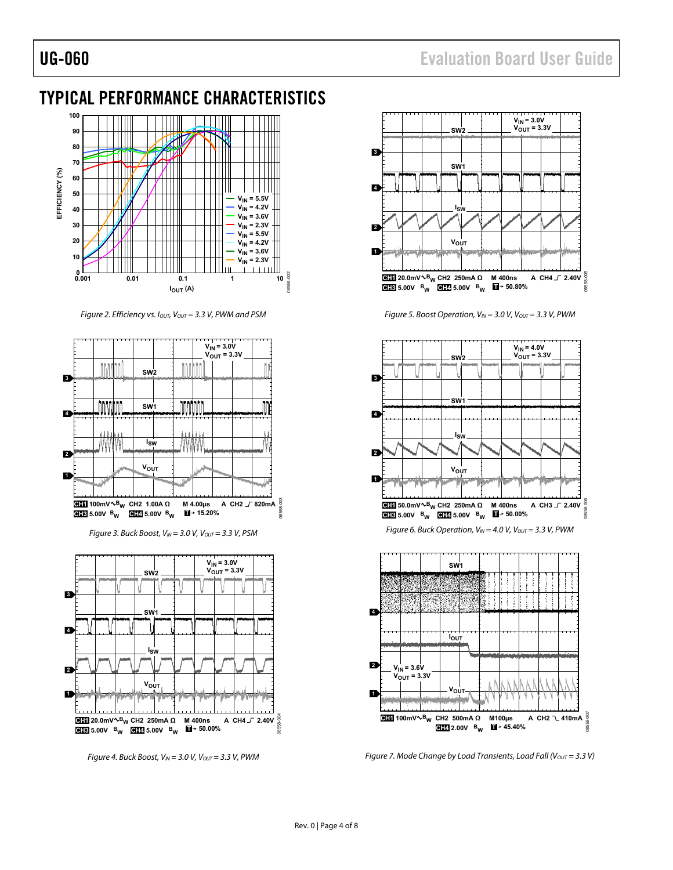## <span id="page-3-0"></span>TYPICAL PERFORMANCE CHARACTERISTICS



Figure 2. Efficiency vs. I<sub>OUT</sub>, V<sub>OUT</sub> = 3.3 V, PWM and PSM



Figure 3. Buck Boost,  $V_{IN} = 3.0$  V,  $V_{OUT} = 3.3$  V, PSM



Figure 4. Buck Boost,  $V_{IN} = 3.0$  V,  $V_{OUT} = 3.3$  V, PWM



Figure 5. Boost Operation,  $V_{IN} = 3.0$  V,  $V_{OUT} = 3.3$  V, PWM







Figure 7. Mode Change by Load Transients, Load Fall ( $V_{OUT} = 3.3 V$ )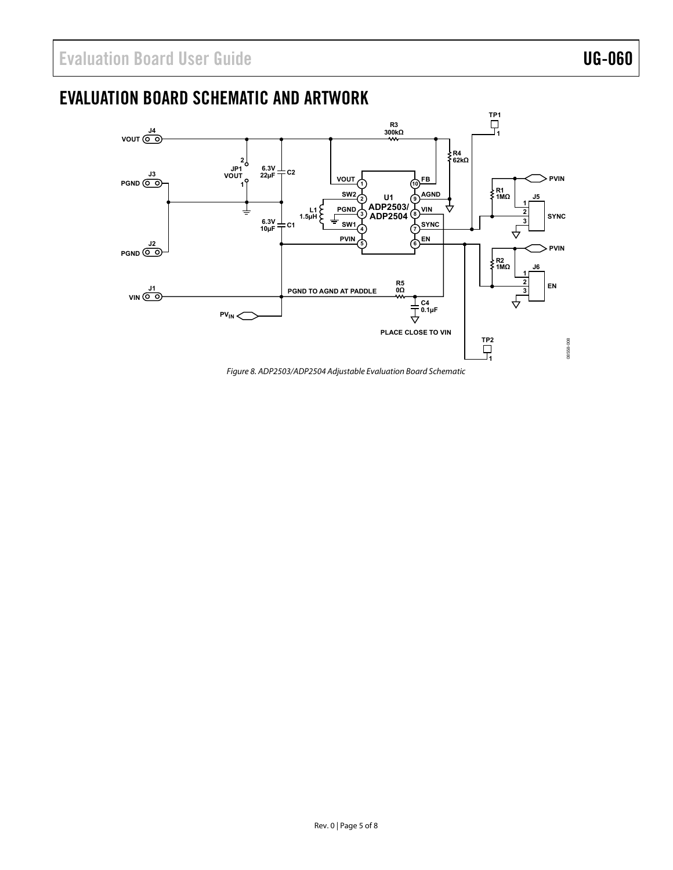## <span id="page-4-0"></span>EVALUATION BOARD SCHEMATIC AND ARTWORK



<span id="page-4-1"></span>Figure 8. ADP2503/ADP2504 Adjustable Evaluation Board Schematic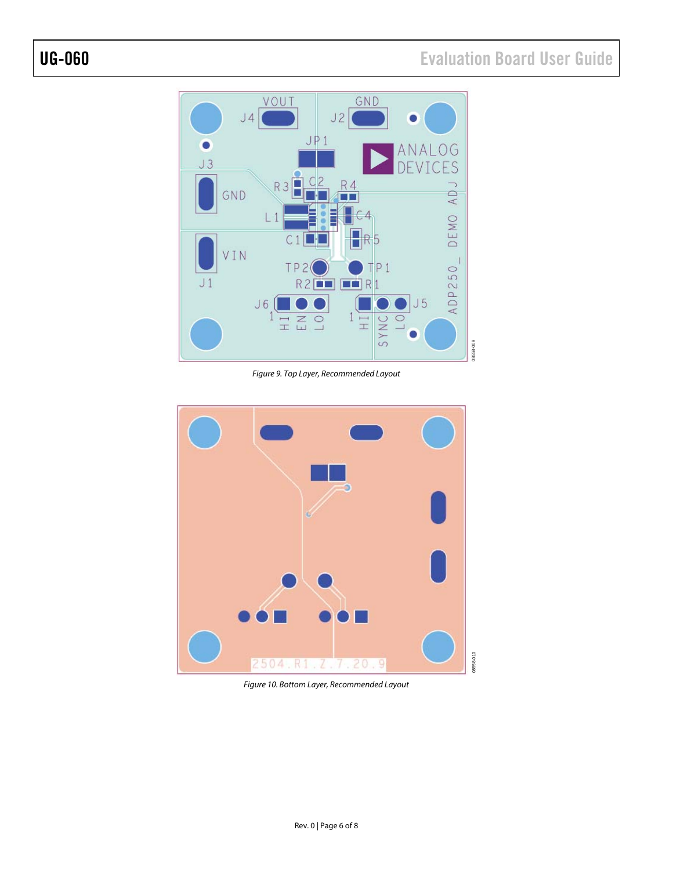# UG-060 Evaluation Board User Guide



Figure 9. Top Layer, Recommended Layout



Figure 10. Bottom Layer, Recommended Layout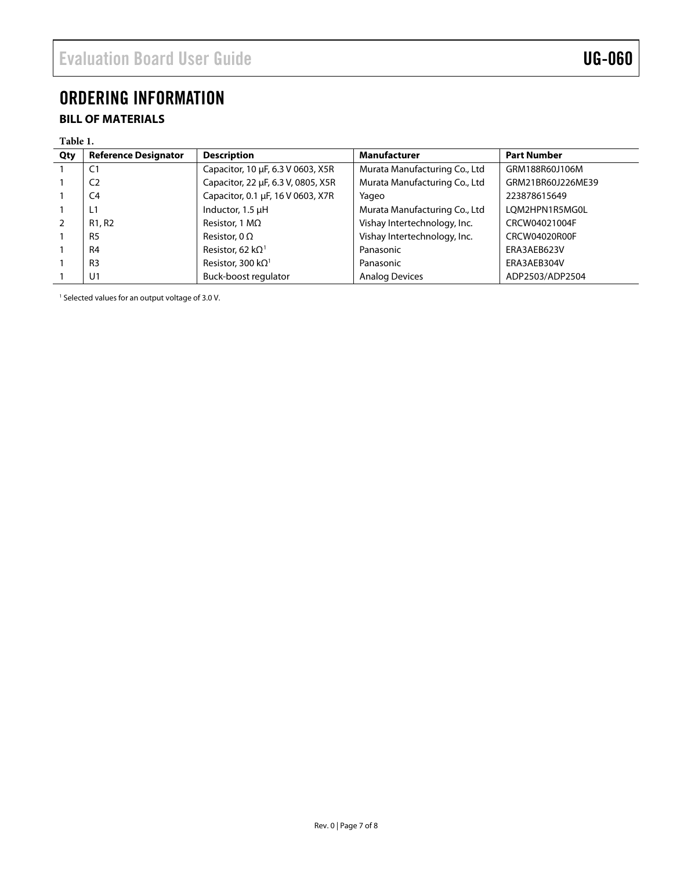## <span id="page-6-0"></span>ORDERING INFORMATION

### **BILL OF MATERIALS**

#### **Table 1.**

| Qty | <b>Reference Designator</b>     | <b>Description</b>                    | Manufacturer                  | <b>Part Number</b> |
|-----|---------------------------------|---------------------------------------|-------------------------------|--------------------|
|     | C <sub>1</sub>                  | Capacitor, 10 µF, 6.3 V 0603, X5R     | Murata Manufacturing Co., Ltd | GRM188R60J106M     |
|     | C <sub>2</sub>                  | Capacitor, 22 µF, 6.3 V, 0805, X5R    | Murata Manufacturing Co., Ltd | GRM21BR60J226ME39  |
|     | C <sub>4</sub>                  | Capacitor, 0.1 µF, 16 V 0603, X7R     | Yageo                         | 223878615649       |
|     | L1                              | Inductor, 1.5 µH                      | Murata Manufacturing Co., Ltd | LOM2HPN1R5MG0L     |
| 2   | R <sub>1</sub> , R <sub>2</sub> | Resistor, 1 $M\Omega$                 | Vishay Intertechnology, Inc.  | CRCW04021004F      |
|     | R <sub>5</sub>                  | Resistor, 0 $\Omega$                  | Vishay Intertechnology, Inc.  | CRCW04020R00F      |
|     | R <sub>4</sub>                  | Resistor, 62 k $\Omega$ <sup>1</sup>  | Panasonic                     | ERA3AEB623V        |
|     | R <sub>3</sub>                  | Resistor, 300 k $\Omega$ <sup>1</sup> | Panasonic                     | ERA3AEB304V        |
|     | U <sub>1</sub>                  | Buck-boost regulator                  | <b>Analog Devices</b>         | ADP2503/ADP2504    |

<span id="page-6-1"></span><sup>1</sup> Selected values for an output voltage of 3.0 V.